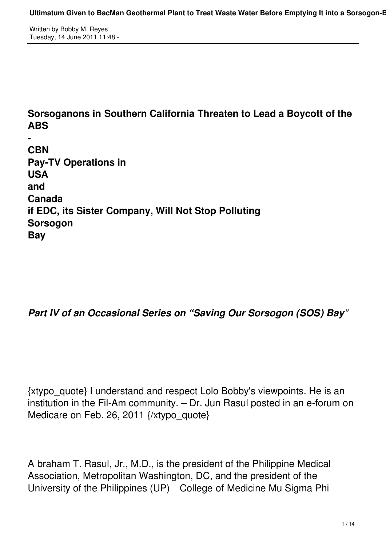Written by Bobby M. Reyes Tuesday, 14 June 2011 11:48 -

# **Sorsoganons in Southern California Threaten to Lead a Boycott of the ABS**

**- CBN Pay-TV Operations in USA and Canada if EDC, its Sister Company, Will Not Stop Polluting Sorsogon Bay**

#### *Part IV of an Occasional Series on "Saving Our Sorsogon (SOS) Bay"*

{xtypo\_quote} I understand and respect Lolo Bobby's viewpoints. He is an institution in the Fil-Am community. – Dr. Jun Rasul posted in an e-forum on Medicare on Feb. 26, 2011 {/xtypo\_quote}

A braham T. Rasul, Jr., M.D., is the president of the Philippine Medical Association, Metropolitan Washington, DC, and the president of the University of the Philippines (UP) College of Medicine Mu Sigma Phi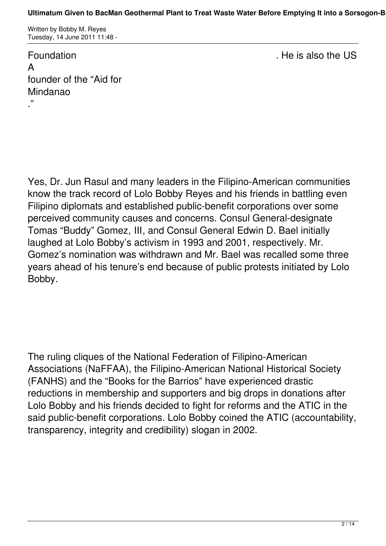Written by Bobby M. Reyes Tuesday, 14 June 2011 11:48 -

Foundation . The issue of the US also the US also the US also the US also the US also the US also the US also the US A founder of the "Aid for Mindanao

."

Yes, Dr. Jun Rasul and many leaders in the Filipino-American communities know the track record of Lolo Bobby Reyes and his friends in battling even Filipino diplomats and established public-benefit corporations over some perceived community causes and concerns. Consul General-designate Tomas "Buddy" Gomez, III, and Consul General Edwin D. Bael initially laughed at Lolo Bobby's activism in 1993 and 2001, respectively. Mr. Gomez's nomination was withdrawn and Mr. Bael was recalled some three years ahead of his tenure's end because of public protests initiated by Lolo Bobby.

The ruling cliques of the National Federation of Filipino-American Associations (NaFFAA), the Filipino-American National Historical Society (FANHS) and the "Books for the Barrios" have experienced drastic reductions in membership and supporters and big drops in donations after Lolo Bobby and his friends decided to fight for reforms and the ATIC in the said public-benefit corporations. Lolo Bobby coined the ATIC (accountability, transparency, integrity and credibility) slogan in 2002.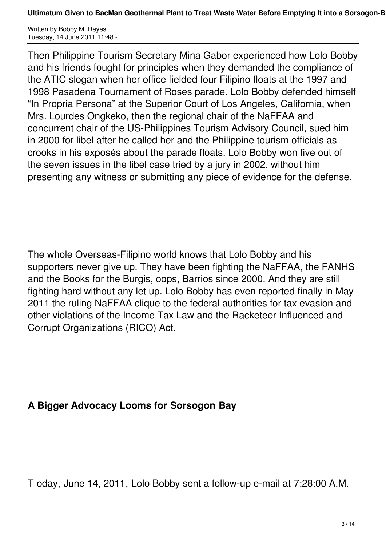Written by Bobby M. Reyes Tuesday, 14 June 2011 11:48 -

Then Philippine Tourism Secretary Mina Gabor experienced how Lolo Bobby and his friends fought for principles when they demanded the compliance of the ATIC slogan when her office fielded four Filipino floats at the 1997 and 1998 Pasadena Tournament of Roses parade. Lolo Bobby defended himself "In Propria Persona" at the Superior Court of Los Angeles, California, when Mrs. Lourdes Ongkeko, then the regional chair of the NaFFAA and concurrent chair of the US-Philippines Tourism Advisory Council, sued him in 2000 for libel after he called her and the Philippine tourism officials as crooks in his exposés about the parade floats. Lolo Bobby won five out of the seven issues in the libel case tried by a jury in 2002, without him presenting any witness or submitting any piece of evidence for the defense.

The whole Overseas-Filipino world knows that Lolo Bobby and his supporters never give up. They have been fighting the NaFFAA, the FANHS and the Books for the Burgis, oops, Barrios since 2000. And they are still fighting hard without any let up. Lolo Bobby has even reported finally in May 2011 the ruling NaFFAA clique to the federal authorities for tax evasion and other violations of the Income Tax Law and the Racketeer Influenced and Corrupt Organizations (RICO) Act.

#### **A Bigger Advocacy Looms for Sorsogon Bay**

T oday, June 14, 2011, Lolo Bobby sent a follow-up e-mail at 7:28:00 A.M.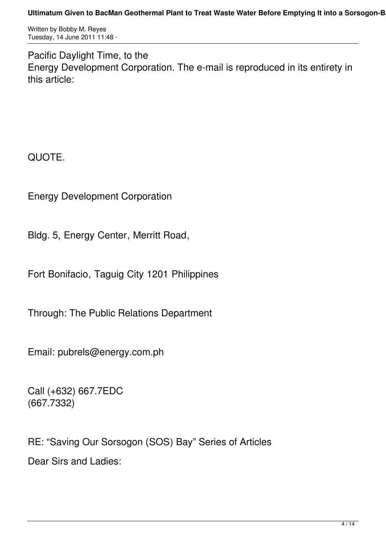Written by Bobby M. Reyes Tuesday, 14 June 2011 11:48 -

Pacific Daylight Time, to the Energy Development Corporation. The e-mail is reproduced in its entirety in this article:

QUOTE.

Energy Development Corporation

Bldg. 5, Energy Center, Merritt Road,

Fort Bonifacio, Taguig City 1201 Philippines

Through: The Public Relations Department

Email: pubrels@energy.com.ph

Call (+632) 667.7EDC (667.7332)

RE: "Saving Our Sorsogon (SOS) Bay" Series of Articles Dear Sirs and Ladies: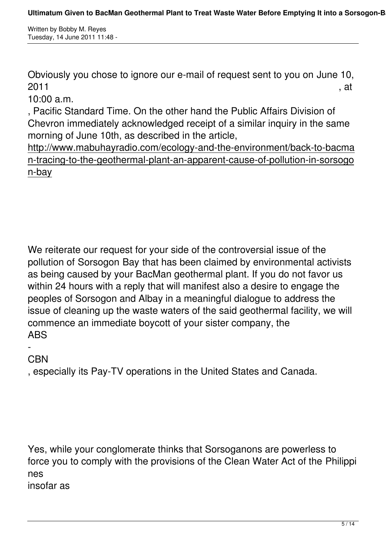Written by Bobby M. Reyes Tuesday, 14 June 2011 11:48 -

Obviously you chose to ignore our e-mail of request sent to you on June 10,  $2011$ , at

10:00 a.m.

, Pacific Standard Time. On the other hand the Public Affairs Division of Chevron immediately acknowledged receipt of a similar inquiry in the same morning of June 10th, as described in the article,

http://www.mabuhayradio.com/ecology-and-the-environment/back-to-bacma n-tracing-to-the-geothermal-plant-an-apparent-cause-of-pollution-in-sorsogo n-bay

We reiterate our request for your side of the controversial issue of the pollution of Sorsogon Bay that has been claimed by environmental activists as being caused by your BacMan geothermal plant. If you do not favor us within 24 hours with a reply that will manifest also a desire to engage the peoples of Sorsogon and Albay in a meaningful dialogue to address the issue of cleaning up the waste waters of the said geothermal facility, we will commence an immediate boycott of your sister company, the ABS

#### - **C<sub>BN</sub>**

, especially its Pay-TV operations in the United States and Canada.

Yes, while your conglomerate thinks that Sorsoganons are powerless to force you to comply with the provisions of the Clean Water Act of the Philippi nes insofar as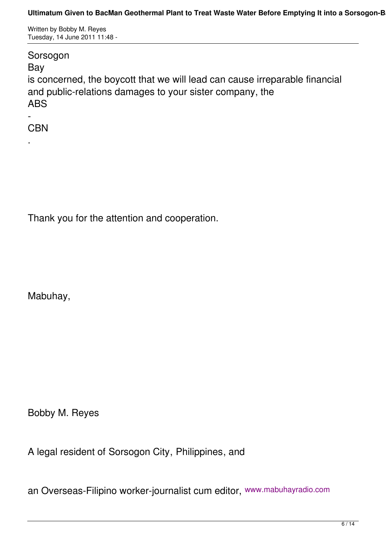Written by Bobby M. Reyes Tuesday, 14 June 2011 11:48 -

#### Sorsogon

Bay

is concerned, the boycott that we will lead can cause irreparable financial and public-relations damages to your sister company, the ABS

- **CBN** 

.

Thank you for the attention and cooperation.

Mabuhay,

Bobby M. Reyes

A legal resident of Sorsogon City, Philippines, and

an Overseas-Filipino worker-journalist cum editor, www.mabuhayradio.com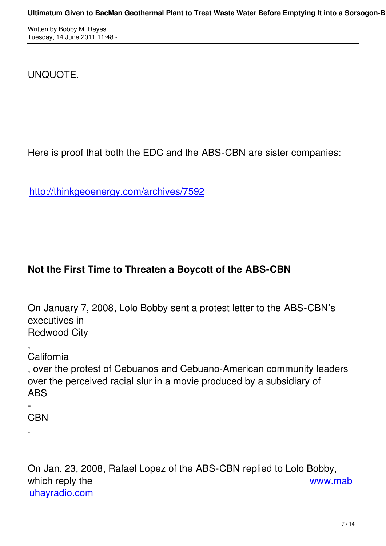# UNQUOTE.

Here is proof that both the EDC and the ABS-CBN are sister companies:

http://thinkgeoenergy.com/archives/7592

# **Not the First Time to Threaten a Boycott of the ABS-CBN**

On January 7, 2008, Lolo Bobby sent a protest letter to the ABS-CBN's executives in Redwood City

, **California** 

, over the protest of Cebuanos and Cebuano-American community leaders over the perceived racial slur in a movie produced by a subsidiary of ABS

- **CBN** 

.

On Jan. 23, 2008, Rafael Lopez of the ABS-CBN replied to Lolo Bobby, which reply the which reply the www.mab uhayradio.com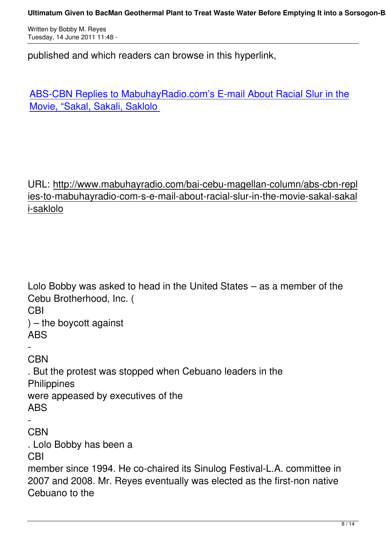published and which readers can browse in this hyperlink,

ABS-CBN Replies to MabuhayRadio.com's E-mail About Racial Slur in the Movie, "Sakal, Sakali, Saklolo

## URL: http://www.mabuhayradio.com/bai-cebu-magellan-column/abs-cbn-repl ies-to-mabuhayradio-com-s-e-mail-about-racial-slur-in-the-movie-sakal-sakal i-saklolo

Lolo Bobby was asked to head in the United States – as a member of the Cebu Brotherhood, Inc. ( CBI  $)$  – the boycott against ABS - **CBN** . But the protest was stopped when Cebuano leaders in the **Philippines** were appeased by executives of the ABS - **CBN** . Lolo Bobby has been a CBI member since 1994. He co-chaired its Sinulog Festival-L.A. committee in 2007 and 2008. Mr. Reyes eventually was elected as the first-non native Cebuano to the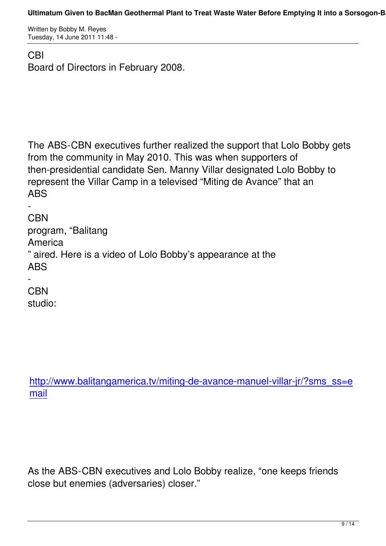## CBI Board of Directors in February 2008.

The ABS-CBN executives further realized the support that Lolo Bobby gets from the community in May 2010. This was when supporters of then-presidential candidate Sen. Manny Villar designated Lolo Bobby to represent the Villar Camp in a televised "Miting de Avance" that an ABS

- CBN program, "Balitang **America** " aired. Here is a video of Lolo Bobby's appearance at the ABS

- **CBN** studio:

http://www.balitangamerica.tv/miting-de-avance-manuel-villar-jr/?sms\_ss=e mail

As the ABS-CBN executives and Lolo Bobby realize, "one keeps friends close but enemies (adversaries) closer."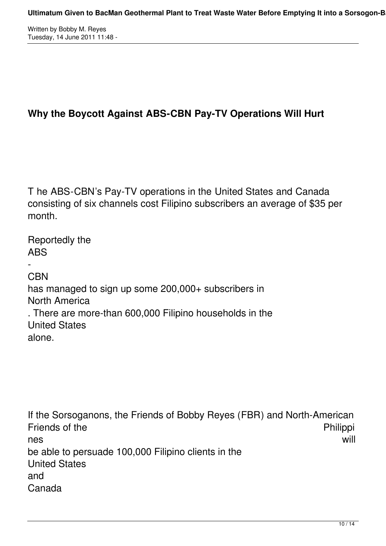Written by Bobby M. Reyes Tuesday, 14 June 2011 11:48 -

## **Why the Boycott Against ABS-CBN Pay-TV Operations Will Hurt**

T he ABS-CBN's Pay-TV operations in the United States and Canada consisting of six channels cost Filipino subscribers an average of \$35 per month.

Reportedly the ABS - **CBN** has managed to sign up some 200,000+ subscribers in North America . There are more-than 600,000 Filipino households in the United States alone.

If the Sorsoganons, the Friends of Bobby Reyes (FBR) and North-American Friends of the **Philippi** nes will be able to persuade 100,000 Filipino clients in the United States and Canada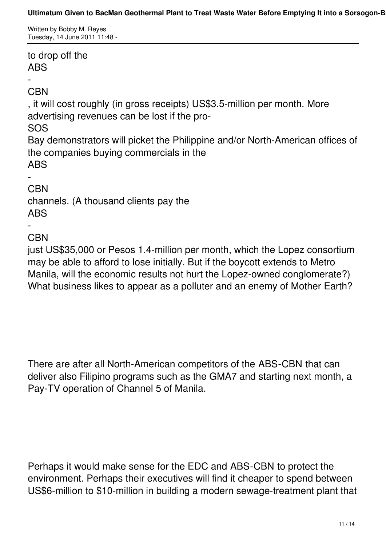Written by Bobby M. Reyes Tuesday, 14 June 2011 11:48 -

to drop off the ABS

- **CBN** 

, it will cost roughly (in gross receipts) US\$3.5-million per month. More advertising revenues can be lost if the pro-

SOS

Bay demonstrators will picket the Philippine and/or North-American offices of the companies buying commercials in the ABS

-

**CBN** channels. (A thousand clients pay the ABS

#### **CBN**

-

just US\$35,000 or Pesos 1.4-million per month, which the Lopez consortium may be able to afford to lose initially. But if the boycott extends to Metro Manila, will the economic results not hurt the Lopez-owned conglomerate?) What business likes to appear as a polluter and an enemy of Mother Earth?

There are after all North-American competitors of the ABS-CBN that can deliver also Filipino programs such as the GMA7 and starting next month, a Pay-TV operation of Channel 5 of Manila.

Perhaps it would make sense for the EDC and ABS-CBN to protect the environment. Perhaps their executives will find it cheaper to spend between US\$6-million to \$10-million in building a modern sewage-treatment plant that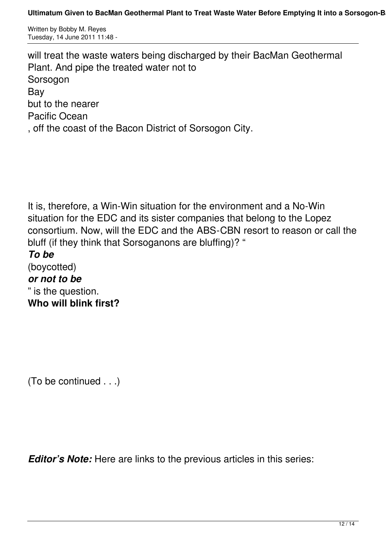Written by Bobby M. Reyes Tuesday, 14 June 2011 11:48 -

will treat the waste waters being discharged by their BacMan Geothermal Plant. And pipe the treated water not to Sorsogon Bay but to the nearer Pacific Ocean , off the coast of the Bacon District of Sorsogon City.

It is, therefore, a Win-Win situation for the environment and a No-Win situation for the EDC and its sister companies that belong to the Lopez consortium. Now, will the EDC and the ABS-CBN resort to reason or call the bluff (if they think that Sorsoganons are bluffing)? "

*To be* (boycotted) *or not to be* " is the question. **Who will blink first?**

(To be continued . . .)

*Editor's Note:* Here are links to the previous articles in this series: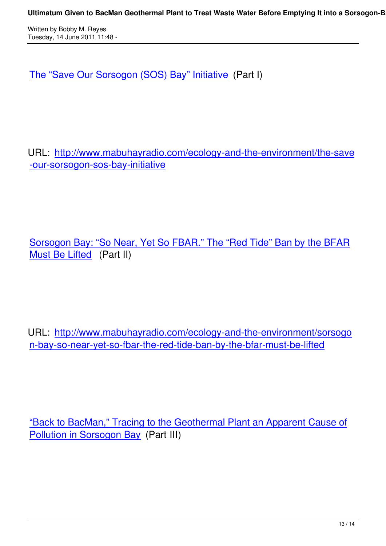The "Save Our Sorsogon (SOS) Bay" Initiative (Part I)

URL: http://www.mabuhayradio.com/ecology-and-the-environment/the-save -our-sorsogon-sos-bay-initiative

Sorsogon Bay: "So Near, Yet So FBAR." The "Red Tide" Ban by the BFAR Must Be Lifted (Part II)

URL: http://www.mabuhayradio.com/ecology-and-the-environment/sorsogo n-bay-so-near-yet-so-fbar-the-red-tide-ban-by-the-bfar-must-be-lifted

"Back to BacMan," Tracing to the Geothermal Plant an Apparent Cause of Pollution in Sorsogon Bay (Part III)